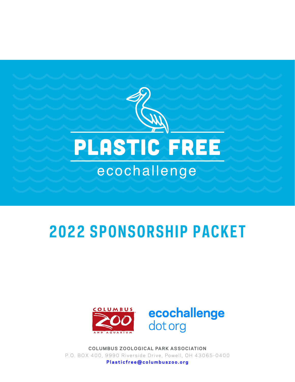

# **2022 SPONSORSHIP PACKET**



**COLUMBUS ZOOLOGICAL PARK ASSOCIATION** P.O. BOX 400, 9990 Riverside Drive, Powell, OH 43065-0400

Plasticfree@columbuszoo.org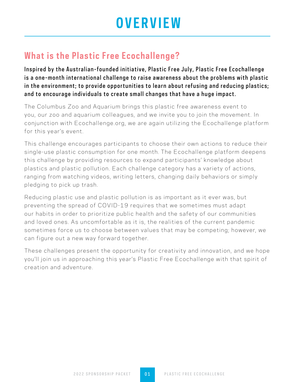## **OVERVIEW**

### **What is the Plastic Free Ecochallenge?**

Inspired by the Australian-founded initiative, Plastic Free July, Plastic Free Ecochallenge is a one-month international challenge to raise awareness about the problems with plastic in the environment; to provide opportunities to learn about refusing and reducing plastics; and to encourage individuals to create small changes that have a huge impact.

The Columbus Zoo and Aquarium brings this plastic free awareness event to you, our zoo and aquarium colleagues, and we invite you to join the movement. In conjunction with Ecochallenge.org, we are again utilizing the Ecochallenge platform for this year's event.

This challenge encourages participants to choose their own actions to reduce their single-use plastic consumption for one month. The Ecochallenge platform deepens this challenge by providing resources to expand participants' knowledge about plastics and plastic pollution. Each challenge category has a variety of actions, ranging from watching videos, writing letters, changing daily behaviors or simply pledging to pick up trash.

Reducing plastic use and plastic pollution is as important as it ever was, but preventing the spread of COVID-19 requires that we sometimes must adapt our habits in order to prioritize public health and the safety of our communities and loved ones. As uncomfortable as it is, the realities of the current pandemic sometimes force us to choose between values that may be competing; however, we can figure out a new way forward together.

These challenges present the opportunity for creativity and innovation, and we hope you'll join us in approaching this year's Plastic Free Ecochallenge with that spirit of creation and adventure.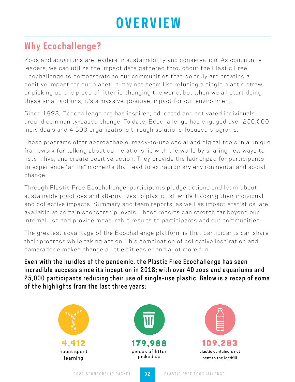# **OVERVIEW**

### **Why Ecochallenge?**

Zoos and aquariums are leaders in sustainability and conservation. As community leaders, we can utilize the impact data gathered throughout the Plastic Free Ecochallenge to demonstrate to our communities that we truly are creating a positive impact for our planet. It may not seem like refusing a single plastic straw or picking up one piece of litter is changing the world, but when we all start doing these small actions, it's a massive, positive impact for our environment.

Since 1993, Ecochallenge.org has inspired, educated and activated individuals around community-based change. To date, Ecochallenge has engaged over 250,000 individuals and 4,500 organizations through solutions-focused programs.

These programs offer approachable, ready-to-use social and digital tools in a unique framework for talking about our relationship with the world by sharing new ways to listen, live, and create positive action. They provide the launchpad for participants to experience "ah-ha" moments that lead to extraordinary environmental and social change.

Through Plastic Free Ecochallenge, participants pledge actions and learn about sustainable practices and alternatives to plastic, all while tracking their individual and collective impacts. Summary and team reports, as well as impact statistics, are available at certain sponsorship levels. These reports can stretch far beyond our internal use and provide measurable results to participants and our communities.

The greatest advantage of the Ecochallenge platform is that participants can share their progress while taking action. This combination of collective inspiration and camaraderie makes change a little bit easier and a lot more fun.

Even with the hurdles of the pandemic, the Plastic Free Ecochallenge has seen incredible success since its inception in 2018; with over 40 zoos and aquariums and 25,000 participants reducing their use of single-use plastic. Below is a recap of some of the highlights from the last three years:





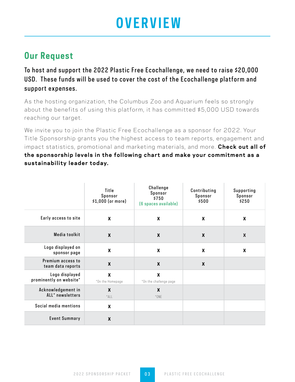## **OVERVIEW**

### **Our Request**

To host and support the 2022 Plastic Free Ecochallenge, we need to raise \$20,000 USD. These funds will be used to cover the cost of the Ecochallenge platform and support expenses.

As the hosting organization, the Columbus Zoo and Aquarium feels so strongly about the benefits of using this platform, it has committed \$5,000 USD towards reaching our target.

We invite you to join the Plastic Free Ecochallenge as a sponsor for 2022. Your Title Sponsorship grants you the highest access to team reports, engagement and impact statistics, promotional and marketing materials, and more. **Check out all of the sponsorship levels in the following chart and make your commitment as a sustainability leader today.**

|                                           | Title<br>Sponsor<br>\$1,000 (or more) | Challenge<br>Sponsor<br>\$750<br>(6 spaces available) | Contributing<br>Sponsor<br>\$500 | Supporting<br>Sponsor<br>\$250 |
|-------------------------------------------|---------------------------------------|-------------------------------------------------------|----------------------------------|--------------------------------|
| Early access to site                      | $\boldsymbol{\mathsf{x}}$             | X                                                     | X                                | $\boldsymbol{X}$               |
| Media toolkit                             | $\boldsymbol{X}$                      | X                                                     | $\boldsymbol{X}$                 | $\boldsymbol{X}$               |
| Logo displayed on<br>sponsor page         | X                                     | X                                                     | $\pmb{\mathsf{X}}$               | $\boldsymbol{X}$               |
| Premium access to<br>team data reports    | $\boldsymbol{X}$                      | $\boldsymbol{x}$                                      | $\boldsymbol{x}$                 |                                |
| Logo displayed<br>prominently on website* | X<br>*On the Homepage                 | $\boldsymbol{X}$<br>*On the challenge page            |                                  |                                |
| Acknowledgement in<br>ALL* newsletters    | $\boldsymbol{X}$<br>$*$ ALL           | X<br>$*$ ONE                                          |                                  |                                |
| Social media mentions                     | $\boldsymbol{X}$                      |                                                       |                                  |                                |
| <b>Event Summary</b>                      | X                                     |                                                       |                                  |                                |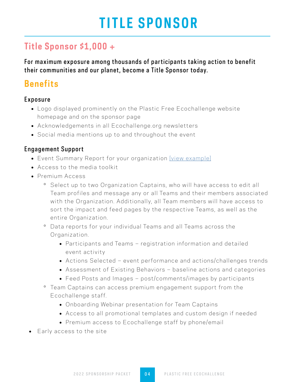## **TITLE SPONSOR**

### **Title Sponsor \$1,000 +**

For maximum exposure among thousands of participants taking action to benefit their communities and our planet, become a Title Sponsor today.

### **Benefits**

#### Exposure

- Logo displayed prominently on the Plastic Free Ecochallenge website homepage and on the sponsor page
- Acknowledgements in all Ecochallenge.org newsletters
- Social media mentions up to and throughout the event

#### Engagement Support

- Event Summary Report for your organization [\[view example\]](https://ecochallenge.org/columbus-zoo-x-plastic-free-ecochallenge-2020-collective-impact-and-reflections/)
- Access to the media toolkit
- Premium Access
	- º Select up to two Organization Captains, who will have access to edit all Team profiles and message any or all Teams and their members associated with the Organization. Additionally, all Team members will have access to sort the impact and feed pages by the respective Teams, as well as the entire Organization.
	- º Data reports for your individual Teams and all Teams across the Organization.
		- Participants and Teams registration information and detailed event activity
		- Actions Selected event performance and actions/challenges trends
		- Assessment of Existing Behaviors baseline actions and categories
		- Feed Posts and Images post/comments/images by participants
	- º Team Captains can access premium engagement support from the Ecochallenge staff.
		- Onboarding Webinar presentation for Team Captains
		- Access to all promotional templates and custom design if needed
		- Premium access to Ecochallenge staff by phone/email
- Early access to the site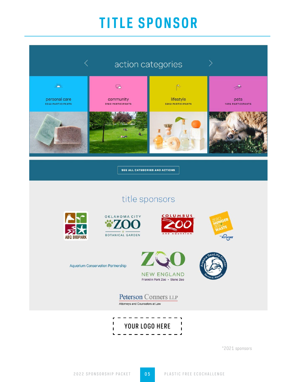## **TITLE SPONSOR**



\*2021 sponsors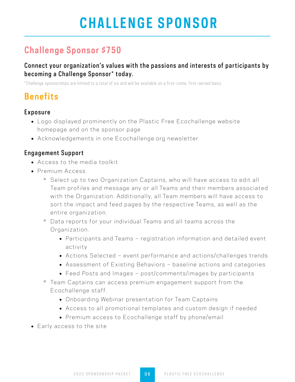## **CHALLENGE SPONSOR**

### **Challenge Sponsor \$750**

#### Connect your organization's values with the passions and interests of participants by becoming a Challenge Sponsor\* today.

\*Challenge sponsorships are limited to a total of six and will be available on a first-come, first-served basis.

## **Benefits**

#### Exposure

- Logo displayed prominently on the Plastic Free Ecochallenge website homepage and on the sponsor page
- Acknowledgements in one Ecochallenge.org newsletter

#### Engagement Support

- Access to the media toolkit
- Premium Access
	- º Select up to two Organization Captains, who will have access to edit all Team profiles and message any or all Teams and their members associated with the Organization. Additionally, all Team members will have access to sort the impact and feed pages by the respective Teams, as well as the entire organization.
	- º Data reports for your individual Teams and all teams across the Organization.
		- Participants and Teams registration information and detailed event activity
		- Actions Selected event performance and actions/challenges trends
		- Assessment of Existing Behaviors baseline actions and categories
		- Feed Posts and Images post/comments/images by participants
	- º Team Captains can access premium engagement support from the Ecochallenge staff.
		- Onboarding Webinar presentation for Team Captains
		- Access to all promotional templates and custom design if needed
		- Premium access to Ecochallenge staff by phone/email
- Early access to the site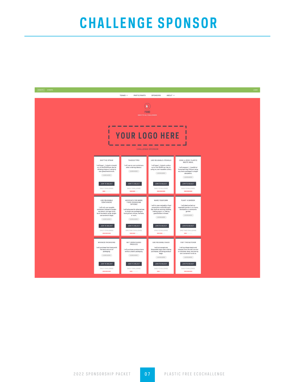## **CHALLENGE SPONSOR**

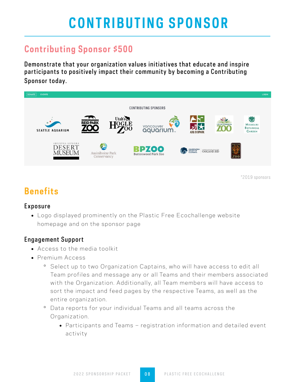## **CONTRIBUTING SPONSOR**

### **Contributing Sponsor \$500**

Demonstrate that your organization values initiatives that educate and inspire participants to positively impact their community by becoming a Contributing Sponsor today.



\*2019 sponsors

## **Benefits**

#### Exposure

 Logo displayed prominently on the Plastic Free Ecochallenge website homepage and on the sponsor page

#### Engagement Support

- Access to the media toolkit
- Premium Access
	- º Select up to two Organization Captains, who will have access to edit all Team profiles and message any or all Teams and their members associated with the Organization. Additionally, all Team members will have access to sort the impact and feed pages by the respective Teams, as well as the entire organization.
	- º Data reports for your individual Teams and all teams across the Organization.
		- Participants and Teams registration information and detailed event activity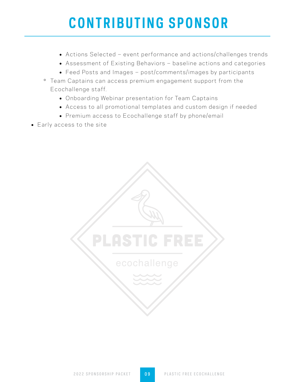## **CONTRIBUTING SPONSOR**

- Actions Selected event performance and actions/challenges trends
- Assessment of Existing Behaviors baseline actions and categories
- Feed Posts and Images post/comments/images by participants
- º Team Captains can access premium engagement support from the Ecochallenge staff.
	- Onboarding Webinar presentation for Team Captains
	- Access to all promotional templates and custom design if needed
	- Premium access to Ecochallenge staff by phone/email
- Early access to the site